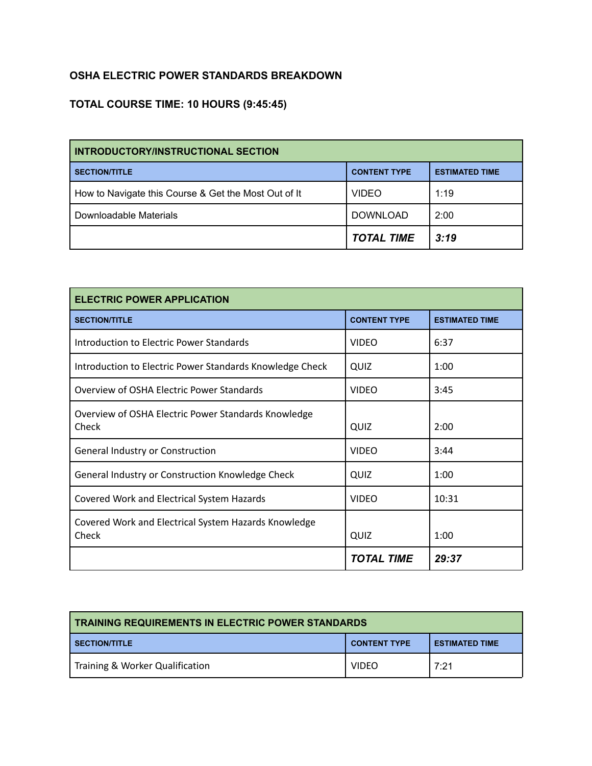## **OSHA ELECTRIC POWER STANDARDS BREAKDOWN**

## **TOTAL COURSE TIME: 10 HOURS (9:45:45)**

| <b>INTRODUCTORY/INSTRUCTIONAL SECTION</b>            |                     |                       |
|------------------------------------------------------|---------------------|-----------------------|
| <b>SECTION/TITLE</b>                                 | <b>CONTENT TYPE</b> | <b>ESTIMATED TIME</b> |
| How to Navigate this Course & Get the Most Out of It | <b>VIDEO</b>        | 1:19                  |
| Downloadable Materials                               | <b>DOWNLOAD</b>     | 2:00                  |
|                                                      | <b>TOTAL TIME</b>   | 3:19                  |

| <b>ELECTRIC POWER APPLICATION</b>                             |                     |                       |
|---------------------------------------------------------------|---------------------|-----------------------|
| <b>SECTION/TITLE</b>                                          | <b>CONTENT TYPE</b> | <b>ESTIMATED TIME</b> |
| Introduction to Electric Power Standards                      | <b>VIDFO</b>        | 6:37                  |
| Introduction to Electric Power Standards Knowledge Check      | QUIZ                | 1:00                  |
| Overview of OSHA Electric Power Standards                     | <b>VIDEO</b>        | 3:45                  |
| Overview of OSHA Electric Power Standards Knowledge<br>Check  | QUIZ                | 2:00                  |
| General Industry or Construction                              | <b>VIDEO</b>        | 3:44                  |
| General Industry or Construction Knowledge Check              | QUIZ                | 1:00                  |
| Covered Work and Electrical System Hazards                    | <b>VIDEO</b>        | 10:31                 |
| Covered Work and Electrical System Hazards Knowledge<br>Check | QUIZ                | 1:00                  |
|                                                               | <b>TOTAL TIME</b>   | 29:37                 |

| TRAINING REQUIREMENTS IN ELECTRIC POWER STANDARDS                    |              |      |  |
|----------------------------------------------------------------------|--------------|------|--|
| <b>SECTION/TITLE</b><br><b>CONTENT TYPE</b><br><b>ESTIMATED TIME</b> |              |      |  |
| Training & Worker Qualification                                      | <b>VIDEO</b> | 7:21 |  |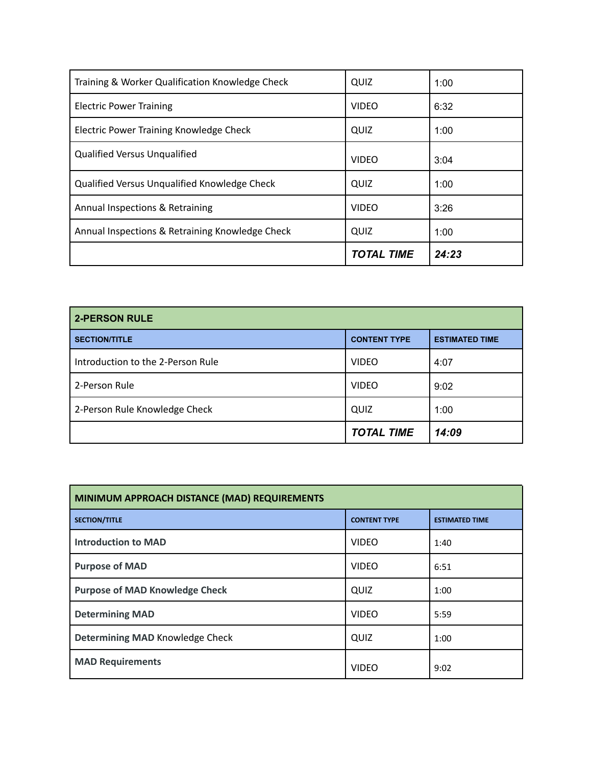| Training & Worker Qualification Knowledge Check | QUIZ              | 1:00  |
|-------------------------------------------------|-------------------|-------|
| <b>Electric Power Training</b>                  | <b>VIDEO</b>      | 6:32  |
| Electric Power Training Knowledge Check         | QUIZ              | 1:00  |
| <b>Qualified Versus Ungualified</b>             | <b>VIDEO</b>      | 3:04  |
| Qualified Versus Unqualified Knowledge Check    | QUIZ              | 1:00  |
| Annual Inspections & Retraining                 | <b>VIDEO</b>      | 3:26  |
| Annual Inspections & Retraining Knowledge Check | QUIZ              | 1:00  |
|                                                 | <b>TOTAL TIME</b> | 24:23 |

| <b>2-PERSON RULE</b>              |                     |                       |
|-----------------------------------|---------------------|-----------------------|
| <b>SECTION/TITLE</b>              | <b>CONTENT TYPE</b> | <b>ESTIMATED TIME</b> |
| Introduction to the 2-Person Rule | <b>VIDEO</b>        | 4:07                  |
| 2-Person Rule                     | <b>VIDEO</b>        | 9:02                  |
| 2-Person Rule Knowledge Check     | QUIZ                | 1:00                  |
|                                   | <b>TOTAL TIME</b>   | 14:09                 |

| MINIMUM APPROACH DISTANCE (MAD) REQUIREMENTS |                     |                       |
|----------------------------------------------|---------------------|-----------------------|
| <b>SECTION/TITLE</b>                         | <b>CONTENT TYPE</b> | <b>ESTIMATED TIME</b> |
| <b>Introduction to MAD</b>                   | <b>VIDEO</b>        | 1:40                  |
| <b>Purpose of MAD</b>                        | <b>VIDEO</b>        | 6:51                  |
| <b>Purpose of MAD Knowledge Check</b>        | QUIZ                | 1:00                  |
| <b>Determining MAD</b>                       | <b>VIDEO</b>        | 5:59                  |
| Determining MAD Knowledge Check              | QUIZ                | 1:00                  |
| <b>MAD Requirements</b>                      | <b>VIDEO</b>        | 9:02                  |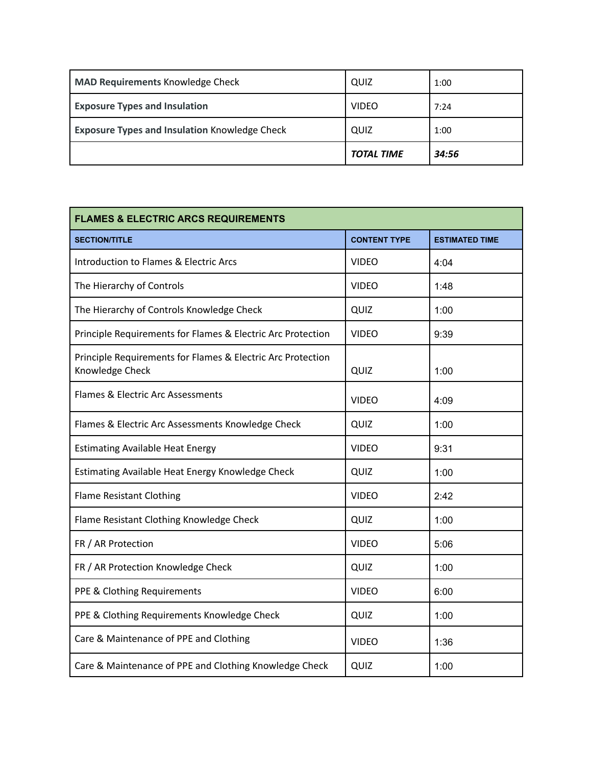|                                                      | <b>TOTAL TIME</b> | 34:56 |
|------------------------------------------------------|-------------------|-------|
| <b>Exposure Types and Insulation Knowledge Check</b> | QUIZ              | 1:00  |
| <b>Exposure Types and Insulation</b>                 | <b>VIDEO</b>      | 7:24  |
| MAD Requirements Knowledge Check                     | QUIZ              | 1:00  |

| <b>FLAMES &amp; ELECTRIC ARCS REQUIREMENTS</b>                                 |                     |                       |
|--------------------------------------------------------------------------------|---------------------|-----------------------|
| <b>SECTION/TITLE</b>                                                           | <b>CONTENT TYPE</b> | <b>ESTIMATED TIME</b> |
| Introduction to Flames & Electric Arcs                                         | <b>VIDEO</b>        | 4:04                  |
| The Hierarchy of Controls                                                      | <b>VIDEO</b>        | 1:48                  |
| The Hierarchy of Controls Knowledge Check                                      | QUIZ                | 1:00                  |
| Principle Requirements for Flames & Electric Arc Protection                    | <b>VIDEO</b>        | 9:39                  |
| Principle Requirements for Flames & Electric Arc Protection<br>Knowledge Check | QUIZ                | 1:00                  |
| Flames & Electric Arc Assessments                                              | <b>VIDEO</b>        | 4:09                  |
| Flames & Electric Arc Assessments Knowledge Check                              | QUIZ                | 1:00                  |
| <b>Estimating Available Heat Energy</b>                                        | <b>VIDEO</b>        | 9:31                  |
| Estimating Available Heat Energy Knowledge Check                               | QUIZ                | 1:00                  |
| <b>Flame Resistant Clothing</b>                                                | <b>VIDEO</b>        | 2:42                  |
| Flame Resistant Clothing Knowledge Check                                       | QUIZ                | 1:00                  |
| FR / AR Protection                                                             | <b>VIDEO</b>        | 5:06                  |
| FR / AR Protection Knowledge Check                                             | QUIZ                | 1:00                  |
| PPE & Clothing Requirements                                                    | <b>VIDEO</b>        | 6:00                  |
| PPE & Clothing Requirements Knowledge Check                                    | QUIZ                | 1:00                  |
| Care & Maintenance of PPE and Clothing                                         | <b>VIDEO</b>        | 1:36                  |
| Care & Maintenance of PPE and Clothing Knowledge Check                         | QUIZ                | 1:00                  |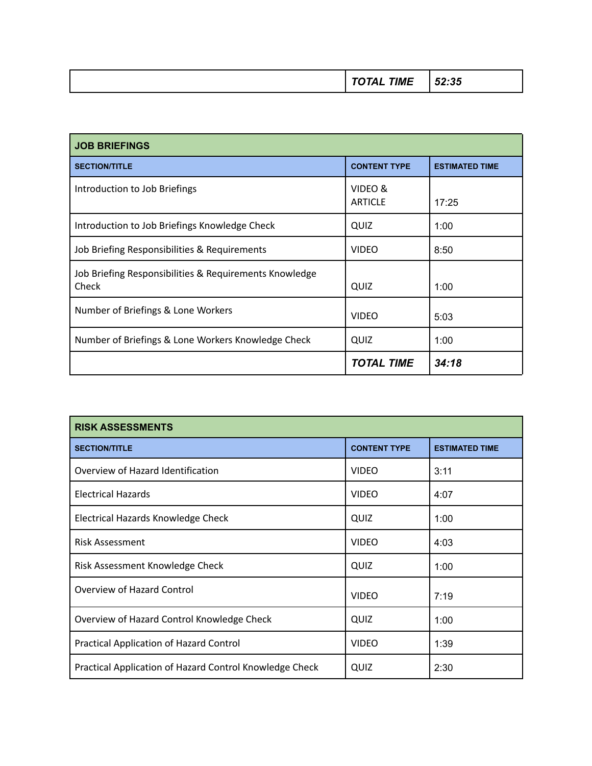|  |  | $ -$ |
|--|--|------|
|--|--|------|

| <b>JOB BRIEFINGS</b>                                            |                           |                       |
|-----------------------------------------------------------------|---------------------------|-----------------------|
| <b>SECTION/TITLE</b>                                            | <b>CONTENT TYPE</b>       | <b>ESTIMATED TIME</b> |
| Introduction to Job Briefings                                   | VIDEO &<br><b>ARTICLE</b> | 17:25                 |
| Introduction to Job Briefings Knowledge Check                   | QUIZ                      | 1:00                  |
| Job Briefing Responsibilities & Requirements                    | <b>VIDEO</b>              | 8:50                  |
| Job Briefing Responsibilities & Requirements Knowledge<br>Check | QUIZ                      | 1:00                  |
| Number of Briefings & Lone Workers                              | <b>VIDEO</b>              | 5:03                  |
| Number of Briefings & Lone Workers Knowledge Check              | QUIZ                      | 1:00                  |
|                                                                 | <b>TOTAL TIME</b>         | 34:18                 |

| <b>RISK ASSESSMENTS</b>                                 |                     |                       |
|---------------------------------------------------------|---------------------|-----------------------|
| <b>SECTION/TITLE</b>                                    | <b>CONTENT TYPE</b> | <b>ESTIMATED TIME</b> |
| Overview of Hazard Identification                       | <b>VIDEO</b>        | 3:11                  |
| <b>Electrical Hazards</b>                               | <b>VIDEO</b>        | 4:07                  |
| Electrical Hazards Knowledge Check                      | QUIZ                | 1:00                  |
| <b>Risk Assessment</b>                                  | <b>VIDEO</b>        | 4:03                  |
| Risk Assessment Knowledge Check                         | QUIZ                | 1:00                  |
| Overview of Hazard Control                              | <b>VIDEO</b>        | 7:19                  |
| Overview of Hazard Control Knowledge Check              | QUIZ                | 1:00                  |
| Practical Application of Hazard Control                 | <b>VIDEO</b>        | 1:39                  |
| Practical Application of Hazard Control Knowledge Check | QUIZ                | 2:30                  |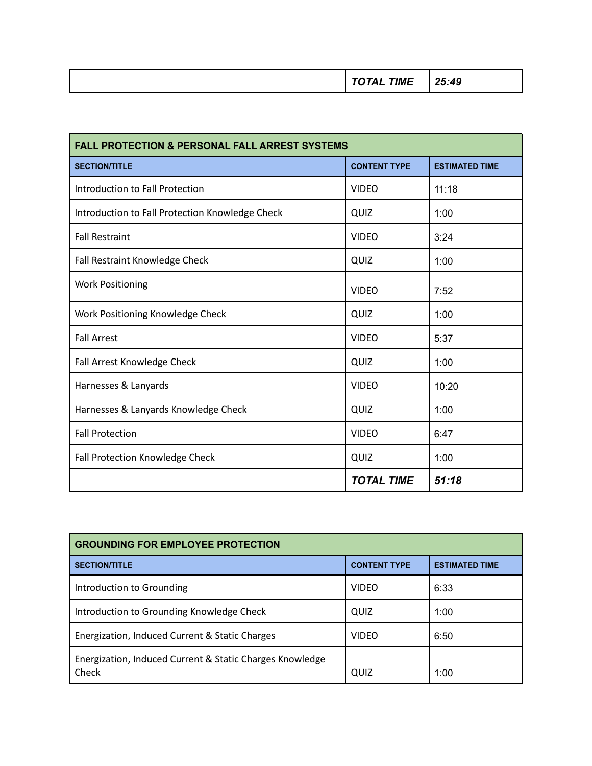|--|--|--|--|

| <b>FALL PROTECTION &amp; PERSONAL FALL ARREST SYSTEMS</b> |                     |                       |
|-----------------------------------------------------------|---------------------|-----------------------|
| <b>SECTION/TITLE</b>                                      | <b>CONTENT TYPE</b> | <b>ESTIMATED TIME</b> |
| Introduction to Fall Protection                           | <b>VIDEO</b>        | 11:18                 |
| Introduction to Fall Protection Knowledge Check           | QUIZ                | 1:00                  |
| <b>Fall Restraint</b>                                     | <b>VIDEO</b>        | 3:24                  |
| Fall Restraint Knowledge Check                            | QUIZ                | 1:00                  |
| <b>Work Positioning</b>                                   | <b>VIDEO</b>        | 7:52                  |
| Work Positioning Knowledge Check                          | QUIZ                | 1:00                  |
| <b>Fall Arrest</b>                                        | <b>VIDEO</b>        | 5:37                  |
| Fall Arrest Knowledge Check                               | QUIZ                | 1:00                  |
| Harnesses & Lanyards                                      | <b>VIDEO</b>        | 10:20                 |
| Harnesses & Lanyards Knowledge Check                      | QUIZ                | 1:00                  |
| <b>Fall Protection</b>                                    | <b>VIDEO</b>        | 6:47                  |
| <b>Fall Protection Knowledge Check</b>                    | QUIZ                | 1:00                  |
|                                                           | <b>TOTAL TIME</b>   | 51:18                 |

| <b>GROUNDING FOR EMPLOYEE PROTECTION</b>                          |                     |                       |
|-------------------------------------------------------------------|---------------------|-----------------------|
| <b>SECTION/TITLE</b>                                              | <b>CONTENT TYPE</b> | <b>ESTIMATED TIME</b> |
| Introduction to Grounding                                         | <b>VIDEO</b>        | 6:33                  |
| Introduction to Grounding Knowledge Check                         | QUIZ                | 1:00                  |
| Energization, Induced Current & Static Charges                    | <b>VIDEO</b>        | 6:50                  |
| Energization, Induced Current & Static Charges Knowledge<br>Check | QUIZ                | 1:00                  |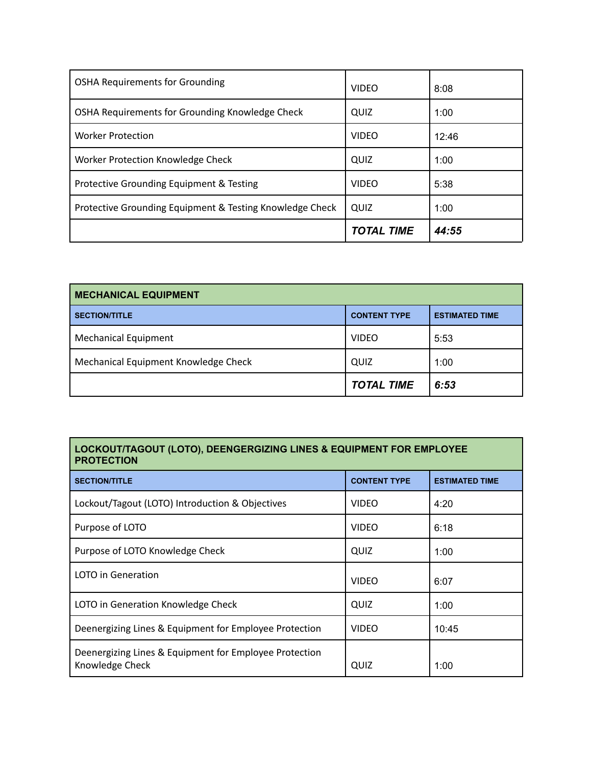|                                                          | <b>TOTAL TIME</b> | 44:55 |
|----------------------------------------------------------|-------------------|-------|
| Protective Grounding Equipment & Testing Knowledge Check | QUIZ              | 1:00  |
| Protective Grounding Equipment & Testing                 | <b>VIDEO</b>      | 5:38  |
| Worker Protection Knowledge Check                        | QUIZ              | 1:00  |
| <b>Worker Protection</b>                                 | <b>VIDEO</b>      | 12:46 |
| OSHA Requirements for Grounding Knowledge Check          | QUIZ              | 1:00  |
| <b>OSHA Requirements for Grounding</b>                   | <b>VIDEO</b>      | 8:08  |

| <b>MECHANICAL EQUIPMENT</b>          |                     |                       |
|--------------------------------------|---------------------|-----------------------|
| <b>SECTION/TITLE</b>                 | <b>CONTENT TYPE</b> | <b>ESTIMATED TIME</b> |
| <b>Mechanical Equipment</b>          | <b>VIDEO</b>        | 5:53                  |
| Mechanical Equipment Knowledge Check | QUIZ                | 1:00                  |
|                                      | <b>TOTAL TIME</b>   | 6:53                  |

## **LOCKOUT/TAGOUT (LOTO), DEENGERGIZING LINES & EQUIPMENT FOR EMPLOYEE PROTECTION**

| <b>SECTION/TITLE</b>                                                      | <b>CONTENT TYPE</b> | <b>ESTIMATED TIME</b> |
|---------------------------------------------------------------------------|---------------------|-----------------------|
| Lockout/Tagout (LOTO) Introduction & Objectives                           | <b>VIDEO</b>        | 4:20                  |
| Purpose of LOTO                                                           | <b>VIDEO</b>        | 6:18                  |
| Purpose of LOTO Knowledge Check                                           | QUIZ                | 1:00                  |
| <b>LOTO</b> in Generation                                                 | <b>VIDEO</b>        | 6:07                  |
| LOTO in Generation Knowledge Check                                        | QUIZ                | 1:00                  |
| Deenergizing Lines & Equipment for Employee Protection                    | <b>VIDEO</b>        | 10:45                 |
| Deenergizing Lines & Equipment for Employee Protection<br>Knowledge Check | QUIZ                | 1:00                  |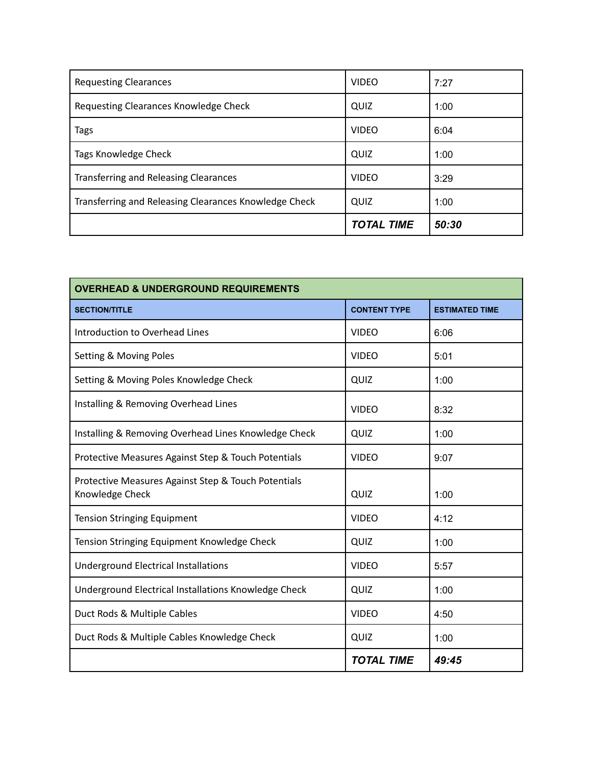| <b>Requesting Clearances</b>                          | <b>VIDEO</b>      | 7:27  |
|-------------------------------------------------------|-------------------|-------|
| Requesting Clearances Knowledge Check                 | QUIZ              | 1:00  |
| Tags                                                  | <b>VIDEO</b>      | 6:04  |
| Tags Knowledge Check                                  | QUIZ              | 1:00  |
| <b>Transferring and Releasing Clearances</b>          | <b>VIDEO</b>      | 3:29  |
| Transferring and Releasing Clearances Knowledge Check | QUIZ              | 1:00  |
|                                                       | <b>TOTAL TIME</b> | 50:30 |

| <b>OVERHEAD &amp; UNDERGROUND REQUIREMENTS</b>                         |                     |                       |
|------------------------------------------------------------------------|---------------------|-----------------------|
| <b>SECTION/TITLE</b>                                                   | <b>CONTENT TYPE</b> | <b>ESTIMATED TIME</b> |
| Introduction to Overhead Lines                                         | <b>VIDEO</b>        | 6:06                  |
| Setting & Moving Poles                                                 | <b>VIDEO</b>        | 5:01                  |
| Setting & Moving Poles Knowledge Check                                 | QUIZ                | 1:00                  |
| Installing & Removing Overhead Lines                                   | <b>VIDEO</b>        | 8:32                  |
| Installing & Removing Overhead Lines Knowledge Check                   | QUIZ                | 1:00                  |
| Protective Measures Against Step & Touch Potentials                    | <b>VIDEO</b>        | 9:07                  |
| Protective Measures Against Step & Touch Potentials<br>Knowledge Check | QUIZ                | 1:00                  |
| <b>Tension Stringing Equipment</b>                                     | <b>VIDEO</b>        | 4:12                  |
| Tension Stringing Equipment Knowledge Check                            | QUIZ                | 1:00                  |
| <b>Underground Electrical Installations</b>                            | <b>VIDEO</b>        | 5:57                  |
| Underground Electrical Installations Knowledge Check                   | QUIZ                | 1:00                  |
| Duct Rods & Multiple Cables                                            | <b>VIDEO</b>        | 4:50                  |
| Duct Rods & Multiple Cables Knowledge Check                            | QUIZ                | 1:00                  |
|                                                                        | <b>TOTAL TIME</b>   | 49:45                 |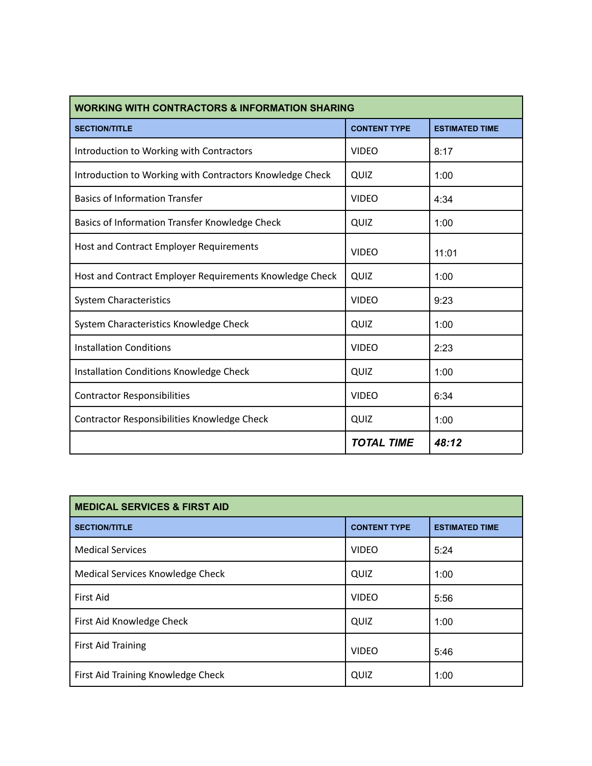| <b>WORKING WITH CONTRACTORS &amp; INFORMATION SHARING</b> |                     |                       |
|-----------------------------------------------------------|---------------------|-----------------------|
| <b>SECTION/TITLE</b>                                      | <b>CONTENT TYPE</b> | <b>ESTIMATED TIME</b> |
| Introduction to Working with Contractors                  | <b>VIDEO</b>        | 8:17                  |
| Introduction to Working with Contractors Knowledge Check  | QUIZ                | 1:00                  |
| <b>Basics of Information Transfer</b>                     | <b>VIDEO</b>        | 4:34                  |
| Basics of Information Transfer Knowledge Check            | QUIZ                | 1:00                  |
| Host and Contract Employer Requirements                   | <b>VIDEO</b>        | 11:01                 |
| Host and Contract Employer Requirements Knowledge Check   | QUIZ                | 1:00                  |
| <b>System Characteristics</b>                             | <b>VIDEO</b>        | 9:23                  |
| System Characteristics Knowledge Check                    | QUIZ                | 1:00                  |
| <b>Installation Conditions</b>                            | <b>VIDEO</b>        | 2:23                  |
| Installation Conditions Knowledge Check                   | QUIZ                | 1:00                  |
| <b>Contractor Responsibilities</b>                        | <b>VIDEO</b>        | 6:34                  |
| <b>Contractor Responsibilities Knowledge Check</b>        | QUIZ                | 1:00                  |
|                                                           | <b>TOTAL TIME</b>   | 48:12                 |

| <b>MEDICAL SERVICES &amp; FIRST AID</b> |                     |                       |
|-----------------------------------------|---------------------|-----------------------|
| <b>SECTION/TITLE</b>                    | <b>CONTENT TYPE</b> | <b>ESTIMATED TIME</b> |
| <b>Medical Services</b>                 | <b>VIDEO</b>        | 5:24                  |
| Medical Services Knowledge Check        | QUIZ                | 1:00                  |
| First Aid                               | <b>VIDEO</b>        | 5:56                  |
| First Aid Knowledge Check               | QUIZ                | 1:00                  |
| <b>First Aid Training</b>               | <b>VIDEO</b>        | 5:46                  |
| First Aid Training Knowledge Check      | QUIZ                | 1:00                  |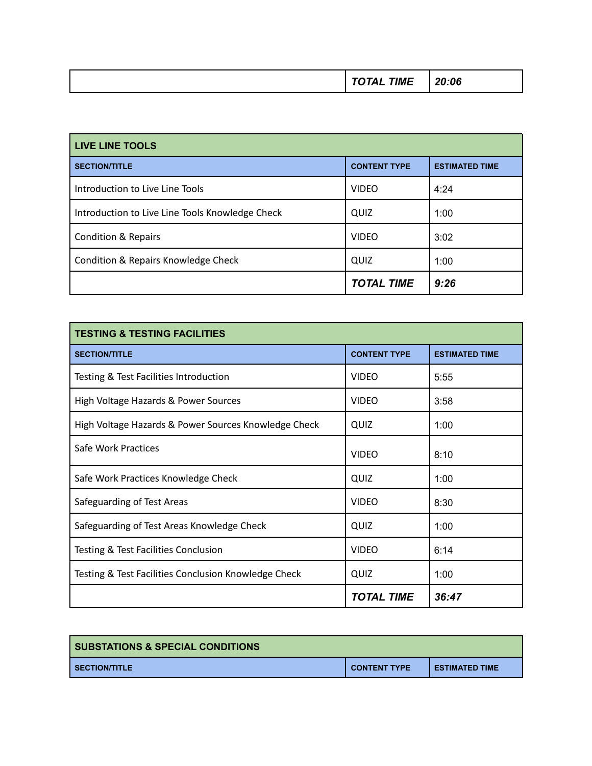|  | ----<br>, ,,,,, | , ., |
|--|-----------------|------|
|--|-----------------|------|

| <b>LIVE LINE TOOLS</b>                          |                     |                       |
|-------------------------------------------------|---------------------|-----------------------|
| <b>SECTION/TITLE</b>                            | <b>CONTENT TYPE</b> | <b>ESTIMATED TIME</b> |
| Introduction to Live Line Tools                 | <b>VIDEO</b>        | 4:24                  |
| Introduction to Live Line Tools Knowledge Check | QUIZ                | 1:00                  |
| <b>Condition &amp; Repairs</b>                  | <b>VIDEO</b>        | 3:02                  |
| Condition & Repairs Knowledge Check             | QUIZ                | 1:00                  |
|                                                 | <b>TOTAL TIME</b>   | 9:26                  |

| <b>TESTING &amp; TESTING FACILITIES</b>              |                     |                       |
|------------------------------------------------------|---------------------|-----------------------|
| <b>SECTION/TITLE</b>                                 | <b>CONTENT TYPE</b> | <b>ESTIMATED TIME</b> |
| Testing & Test Facilities Introduction               | <b>VIDEO</b>        | 5:55                  |
| High Voltage Hazards & Power Sources                 | <b>VIDEO</b>        | 3:58                  |
| High Voltage Hazards & Power Sources Knowledge Check | QUIZ                | 1:00                  |
| Safe Work Practices                                  | <b>VIDFO</b>        | 8:10                  |
| Safe Work Practices Knowledge Check                  | QUIZ                | 1:00                  |
| Safeguarding of Test Areas                           | <b>VIDEO</b>        | 8:30                  |
| Safeguarding of Test Areas Knowledge Check           | QUIZ                | 1:00                  |
| Testing & Test Facilities Conclusion                 | <b>VIDEO</b>        | 6:14                  |
| Testing & Test Facilities Conclusion Knowledge Check | QUIZ                | 1:00                  |
|                                                      | <b>TOTAL TIME</b>   | 36:47                 |

| <b>SUBSTATIONS &amp; SPECIAL CONDITIONS</b> |                     |                       |
|---------------------------------------------|---------------------|-----------------------|
| I SECTION/TITLE                             | <b>CONTENT TYPE</b> | <b>ESTIMATED TIME</b> |